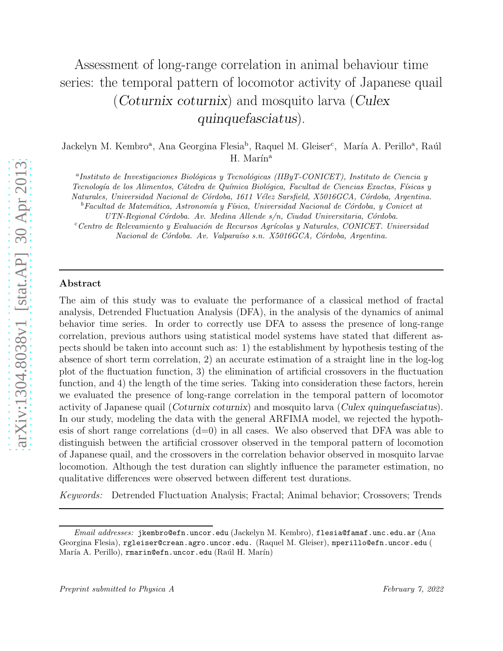# Assessment of long-range correlation in animal behaviour time series: the temporal pattern of locomotor activity of Japanese quail (Coturnix coturnix) and mosquito larva (Culex quinquefasciatus).

Jackelyn M. Kembro<sup>a</sup>, Ana Georgina Flesia<sup>b</sup>, Raquel M. Gleiser<sup>c</sup>, María A. Perillo<sup>a</sup>, Raúl H. Mar $in^a$ 

<sup>a</sup>Instituto de Investigaciones Biológicas y Tecnológicas (IIByT-CONICET), Instituto de Ciencia y

*Tecnolog´ıa de los Alimentos, C´atedra de Qu´ımica Biol´ogica, Facultad de Ciencias Exactas, F´ısicas y*

*Naturales, Universidad Nacional de C´ordoba, 1611 V´elez Sarsfield, X5016GCA, C´ordoba, Argentina.*

<sup>b</sup>*Facultad de Matem´atica, Astronom´ıa y F´ısica, Universidad Nacional de C´ordoba, y Conicet at UTN-Regional C´ordoba. Av. Medina Allende s/n, Ciudad Universitaria, C´ordoba.*

<sup>c</sup> Centro de Relevamiento y Evaluación de Recursos Agrícolas y Naturales, CONICET. Universidad *Nacional de C´ordoba. Av. Valpara´ıso s.n. X5016GCA, C´ordoba, Argentina.*

#### Abstract

The aim of this study was to evaluate the performance of a classical method of fractal analysis, Detrended Fluctuation Analysis (DFA), in the analysis of the dynamics of animal behavior time series. In order to correctly use DFA to assess the presence of long-range correlation, previous authors using statistical model systems have stated that different aspects should be taken into account such as: 1) the establishment by hypothesis testing of the absence of short term correlation, 2) an accurate estimation of a straight line in the log-log plot of the fluctuation function, 3) the elimination of artificial crossovers in the fluctuation function, and 4) the length of the time series. Taking into consideration these factors, herein we evaluated the presence of long-range correlation in the temporal pattern of locomotor activity of Japanese quail (Coturnix coturnix) and mosquito larva (Culex quinquefasciatus). In our study, modeling the data with the general ARFIMA model, we rejected the hypothesis of short range correlations  $(d=0)$  in all cases. We also observed that DFA was able to distinguish between the artificial crossover observed in the temporal pattern of locomotion of Japanese quail, and the crossovers in the correlation behavior observed in mosquito larvae locomotion. Although the test duration can slightly influence the parameter estimation, no qualitative differences were observed between different test durations.

Keywords: Detrended Fluctuation Analysis; Fractal; Animal behavior; Crossovers; Trends

*Email addresses:* jkembro@efn.uncor.edu (Jackelyn M. Kembro), flesia@famaf.unc.edu.ar (Ana Georgina Flesia), rgleiser@crean.agro.uncor.edu. (Raquel M. Gleiser), mperillo@efn.uncor.edu ( María A. Perillo), rmarin@efn.uncor.edu (Raúl H. Marín)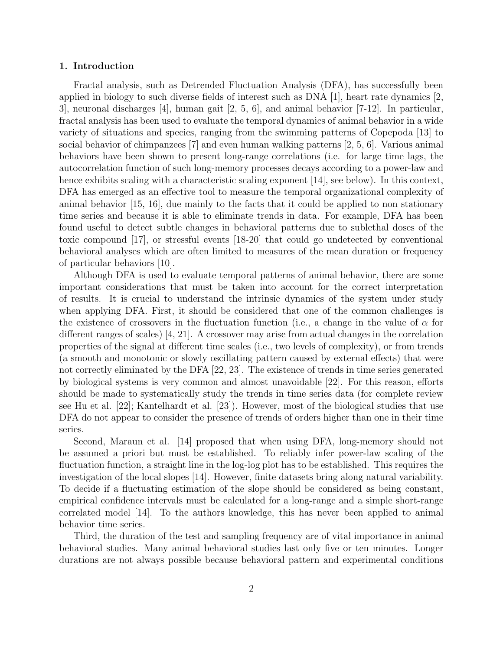# 1. Introduction

Fractal analysis, such as Detrended Fluctuation Analysis (DFA), has successfully been applied in biology to such diverse fields of interest such as DNA  $[1]$ , heart rate dynamics  $[2]$ , 3], neuronal discharges [4], human gait [2, 5, 6], and animal behavior [7-12]. In particular, fractal analysis has been used to evaluate the temporal dynamics of animal behavior in a wide variety of situations and species, ranging from the swimming patterns of Copepoda [13] to social behavior of chimpanzees [7] and even human walking patterns [2, 5, 6]. Various animal behaviors have been shown to present long-range correlations (i.e. for large time lags, the autocorrelation function of such long-memory processes decays according to a power-law and hence exhibits scaling with a characteristic scaling exponent [14], see below). In this context, DFA has emerged as an effective tool to measure the temporal organizational complexity of animal behavior [15, 16], due mainly to the facts that it could be applied to non stationary time series and because it is able to eliminate trends in data. For example, DFA has been found useful to detect subtle changes in behavioral patterns due to sublethal doses of the toxic compound [17], or stressful events [18-20] that could go undetected by conventional behavioral analyses which are often limited to measures of the mean duration or frequency of particular behaviors [10].

Although DFA is used to evaluate temporal patterns of animal behavior, there are some important considerations that must be taken into account for the correct interpretation of results. It is crucial to understand the intrinsic dynamics of the system under study when applying DFA. First, it should be considered that one of the common challenges is the existence of crossovers in the fluctuation function (i.e., a change in the value of  $\alpha$  for different ranges of scales) [4, 21]. A crossover may arise from actual changes in the correlation properties of the signal at different time scales (i.e., two levels of complexity), or from trends (a smooth and monotonic or slowly oscillating pattern caused by external effects) that were not correctly eliminated by the DFA [22, 23]. The existence of trends in time series generated by biological systems is very common and almost unavoidable [22]. For this reason, efforts should be made to systematically study the trends in time series data (for complete review see Hu et al. [22]; Kantelhardt et al. [23]). However, most of the biological studies that use DFA do not appear to consider the presence of trends of orders higher than one in their time series.

Second, Maraun et al. [14] proposed that when using DFA, long-memory should not be assumed a priori but must be established. To reliably infer power-law scaling of the fluctuation function, a straight line in the log-log plot has to be established. This requires the investigation of the local slopes [14]. However, finite datasets bring along natural variability. To decide if a fluctuating estimation of the slope should be considered as being constant, empirical confidence intervals must be calculated for a long-range and a simple short-range correlated model [14]. To the authors knowledge, this has never been applied to animal behavior time series.

Third, the duration of the test and sampling frequency are of vital importance in animal behavioral studies. Many animal behavioral studies last only five or ten minutes. Longer durations are not always possible because behavioral pattern and experimental conditions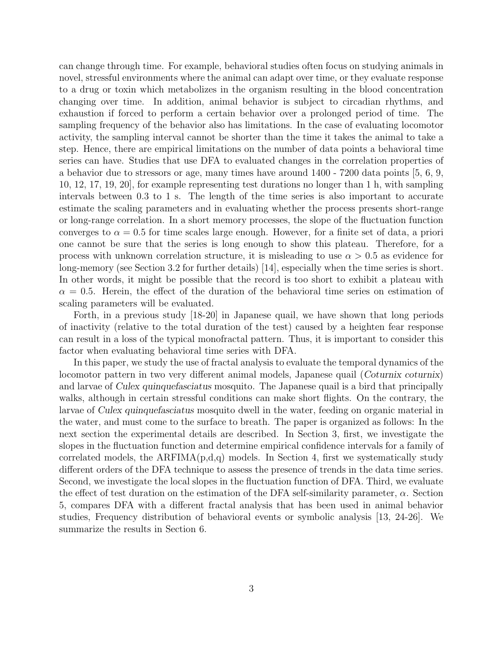can change through time. For example, behavioral studies often focus on studying animals in novel, stressful environments where the animal can adapt over time, or they evaluate response to a drug or toxin which metabolizes in the organism resulting in the blood concentration changing over time. In addition, animal behavior is subject to circadian rhythms, and exhaustion if forced to perform a certain behavior over a prolonged period of time. The sampling frequency of the behavior also has limitations. In the case of evaluating locomotor activity, the sampling interval cannot be shorter than the time it takes the animal to take a step. Hence, there are empirical limitations on the number of data points a behavioral time series can have. Studies that use DFA to evaluated changes in the correlation properties of a behavior due to stressors or age, many times have around 1400 - 7200 data points [5, 6, 9, 10, 12, 17, 19, 20], for example representing test durations no longer than 1 h, with sampling intervals between 0.3 to 1 s. The length of the time series is also important to accurate estimate the scaling parameters and in evaluating whether the process presents short-range or long-range correlation. In a short memory processes, the slope of the fluctuation function converges to  $\alpha = 0.5$  for time scales large enough. However, for a finite set of data, a priori one cannot be sure that the series is long enough to show this plateau. Therefore, for a process with unknown correlation structure, it is misleading to use  $\alpha > 0.5$  as evidence for long-memory (see Section 3.2 for further details) [14], especially when the time series is short. In other words, it might be possible that the record is too short to exhibit a plateau with  $\alpha = 0.5$ . Herein, the effect of the duration of the behavioral time series on estimation of scaling parameters will be evaluated.

Forth, in a previous study [18-20] in Japanese quail, we have shown that long periods of inactivity (relative to the total duration of the test) caused by a heighten fear response can result in a loss of the typical monofractal pattern. Thus, it is important to consider this factor when evaluating behavioral time series with DFA.

In this paper, we study the use of fractal analysis to evaluate the temporal dynamics of the locomotor pattern in two very different animal models, Japanese quail (Coturnix coturnix) and larvae of Culex quinquefasciatus mosquito. The Japanese quail is a bird that principally walks, although in certain stressful conditions can make short flights. On the contrary, the larvae of Culex quinquefasciatus mosquito dwell in the water, feeding on organic material in the water, and must come to the surface to breath. The paper is organized as follows: In the next section the experimental details are described. In Section 3, first, we investigate the slopes in the fluctuation function and determine empirical confidence intervals for a family of correlated models, the  $ARFIMA(p,d,q)$  models. In Section 4, first we systematically study different orders of the DFA technique to assess the presence of trends in the data time series. Second, we investigate the local slopes in the fluctuation function of DFA. Third, we evaluate the effect of test duration on the estimation of the DFA self-similarity parameter,  $\alpha$ . Section 5, compares DFA with a different fractal analysis that has been used in animal behavior studies, Frequency distribution of behavioral events or symbolic analysis [13, 24-26]. We summarize the results in Section 6.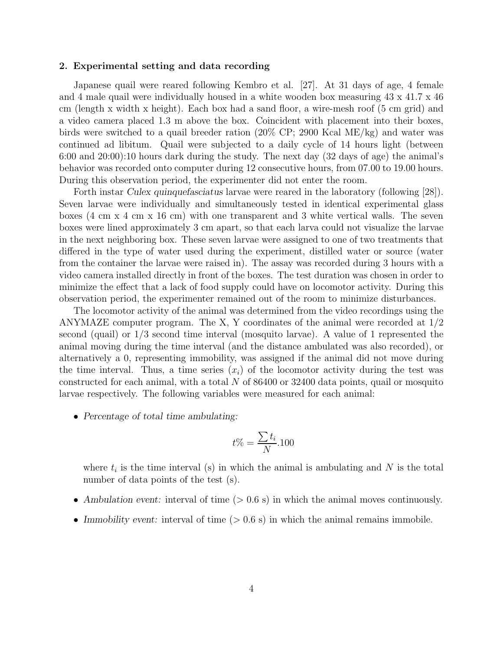#### 2. Experimental setting and data recording

Japanese quail were reared following Kembro et al. [27]. At 31 days of age, 4 female and 4 male quail were individually housed in a white wooden box measuring 43 x 41.7 x 46 cm (length x width x height). Each box had a sand floor, a wire-mesh roof (5 cm grid) and a video camera placed 1.3 m above the box. Coincident with placement into their boxes, birds were switched to a quail breeder ration (20% CP; 2900 Kcal ME/kg) and water was continued ad libitum. Quail were subjected to a daily cycle of 14 hours light (between 6:00 and 20:00):10 hours dark during the study. The next day (32 days of age) the animal's behavior was recorded onto computer during 12 consecutive hours, from 07.00 to 19.00 hours. During this observation period, the experimenter did not enter the room.

Forth instar Culex quinque fasciatus larvae were reared in the laboratory (following [28]). Seven larvae were individually and simultaneously tested in identical experimental glass boxes (4 cm x 4 cm x 16 cm) with one transparent and 3 white vertical walls. The seven boxes were lined approximately 3 cm apart, so that each larva could not visualize the larvae in the next neighboring box. These seven larvae were assigned to one of two treatments that differed in the type of water used during the experiment, distilled water or source (water from the container the larvae were raised in). The assay was recorded during 3 hours with a video camera installed directly in front of the boxes. The test duration was chosen in order to minimize the effect that a lack of food supply could have on locomotor activity. During this observation period, the experimenter remained out of the room to minimize disturbances.

The locomotor activity of the animal was determined from the video recordings using the ANYMAZE computer program. The X, Y coordinates of the animal were recorded at 1/2 second (quail) or 1/3 second time interval (mosquito larvae). A value of 1 represented the animal moving during the time interval (and the distance ambulated was also recorded), or alternatively a 0, representing immobility, was assigned if the animal did not move during the time interval. Thus, a time series  $(x<sub>i</sub>)$  of the locomotor activity during the test was constructed for each animal, with a total  $N$  of 86400 or 32400 data points, quail or mosquito larvae respectively. The following variables were measured for each animal:

• Percentage of total time ambulating:

$$
t\% = \frac{\sum t_i}{N}.100
$$

where  $t_i$  is the time interval (s) in which the animal is ambulating and N is the total number of data points of the test (s).

- Ambulation event: interval of time  $(> 0.6 \text{ s})$  in which the animal moves continuously.
- Immobility event: interval of time  $(> 0.6 \text{ s})$  in which the animal remains immobile.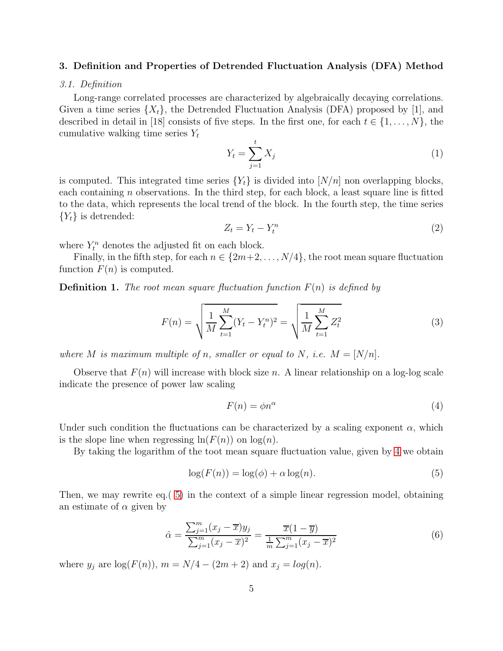# 3. Definition and Properties of Detrended Fluctuation Analysis (DFA) Method

#### 3.1. Definition

Long-range correlated processes are characterized by algebraically decaying correlations. Given a time series  $\{X_t\}$ , the Detrended Fluctuation Analysis (DFA) proposed by [1], and described in detail in [18] consists of five steps. In the first one, for each  $t \in \{1, \ldots, N\}$ , the cumulative walking time series  $Y_t$ 

$$
Y_t = \sum_{j=1}^t X_j \tag{1}
$$

is computed. This integrated time series  $\{Y_t\}$  is divided into  $[N/n]$  non overlapping blocks, each containing  $n$  observations. In the third step, for each block, a least square line is fitted to the data, which represents the local trend of the block. In the fourth step, the time series  ${Y_t}$  is detrended:

$$
Z_t = Y_t - Y_t^n \tag{2}
$$

where  $Y_t^n$  denotes the adjusted fit on each block.

Finally, in the fifth step, for each  $n \in \{2m+2,\ldots,N/4\}$ , the root mean square fluctuation function  $F(n)$  is computed.

**Definition 1.** The root mean square fluctuation function  $F(n)$  is defined by

$$
F(n) = \sqrt{\frac{1}{M} \sum_{t=1}^{M} (Y_t - Y_t^n)^2} = \sqrt{\frac{1}{M} \sum_{t=1}^{M} Z_t^2}
$$
 (3)

where M is maximum multiple of n, smaller or equal to N, i.e.  $M = [N/n]$ .

Observe that  $F(n)$  will increase with block size n. A linear relationship on a log-log scale indicate the presence of power law scaling

<span id="page-4-0"></span>
$$
F(n) = \phi n^{\alpha} \tag{4}
$$

Under such condition the fluctuations can be characterized by a scaling exponent  $\alpha$ , which is the slope line when regressing  $\ln(F(n))$  on  $\log(n)$ .

By taking the logarithm of the toot mean square fluctuation value, given by [4](#page-4-0) we obtain

<span id="page-4-1"></span>
$$
\log(F(n)) = \log(\phi) + \alpha \log(n). \tag{5}
$$

Then, we may rewrite eq.( [5\)](#page-4-1) in the context of a simple linear regression model, obtaining an estimate of  $\alpha$  given by

$$
\hat{\alpha} = \frac{\sum_{j=1}^{m} (x_j - \overline{x}) y_j}{\sum_{j=1}^{m} (x_j - \overline{x})^2} = \frac{\overline{x} (1 - \overline{y})}{\frac{1}{m} \sum_{j=1}^{m} (x_j - \overline{x})^2}
$$
(6)

where  $y_j$  are  $log(F(n))$ ,  $m = N/4 - (2m + 2)$  and  $x_j = log(n)$ .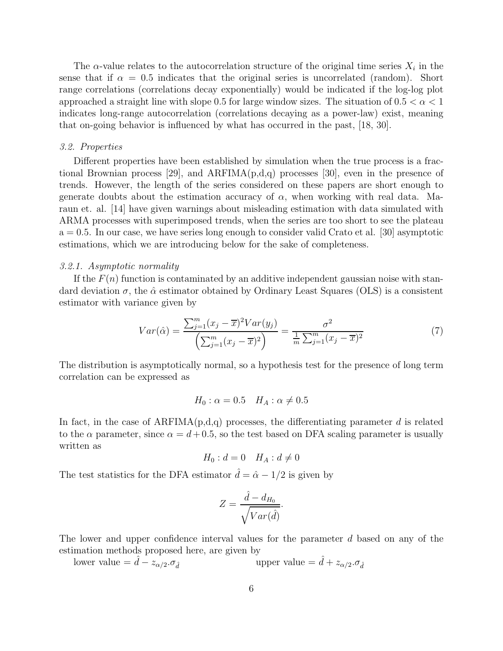The  $\alpha$ -value relates to the autocorrelation structure of the original time series  $X_i$  in the sense that if  $\alpha = 0.5$  indicates that the original series is uncorrelated (random). Short range correlations (correlations decay exponentially) would be indicated if the log-log plot approached a straight line with slope 0.5 for large window sizes. The situation of  $0.5 < \alpha < 1$ indicates long-range autocorrelation (correlations decaying as a power-law) exist, meaning that on-going behavior is influenced by what has occurred in the past, [18, 30].

#### 3.2. Properties

Different properties have been established by simulation when the true process is a fractional Brownian process [29], and  $ARFIMA(p,d,q)$  processes [30], even in the presence of trends. However, the length of the series considered on these papers are short enough to generate doubts about the estimation accuracy of  $\alpha$ , when working with real data. Maraun et. al. [14] have given warnings about misleading estimation with data simulated with ARMA processes with superimposed trends, when the series are too short to see the plateau  $a = 0.5$ . In our case, we have series long enough to consider valid Crato et al. [30] asymptotic estimations, which we are introducing below for the sake of completeness.

#### 3.2.1. Asymptotic normality

If the  $F(n)$  function is contaminated by an additive independent gaussian noise with standard deviation  $\sigma$ , the  $\hat{\alpha}$  estimator obtained by Ordinary Least Squares (OLS) is a consistent estimator with variance given by

$$
Var(\hat{\alpha}) = \frac{\sum_{j=1}^{m} (x_j - \overline{x})^2 Var(y_j)}{\left(\sum_{j=1}^{m} (x_j - \overline{x})^2\right)} = \frac{\sigma^2}{\frac{1}{m} \sum_{j=1}^{m} (x_j - \overline{x})^2}
$$
(7)

The distribution is asymptotically normal, so a hypothesis test for the presence of long term correlation can be expressed as

$$
H_0: \alpha = 0.5 \quad H_A: \alpha \neq 0.5
$$

In fact, in the case of  $ARFIMA(p,d,q)$  processes, the differentiating parameter d is related to the  $\alpha$  parameter, since  $\alpha = d + 0.5$ , so the test based on DFA scaling parameter is usually written as

$$
H_0: d = 0 \quad H_A: d \neq 0
$$

The test statistics for the DFA estimator  $\hat{d} = \hat{\alpha} - 1/2$  is given by

$$
Z = \frac{\hat{d} - d_{H_0}}{\sqrt{Var(\hat{d})}}.
$$

The lower and upper confidence interval values for the parameter d based on any of the estimation methods proposed here, are given by

lower value = 
$$
\hat{d} - z_{\alpha/2} \cdot \sigma_{\hat{d}}
$$
 upper value =  $\hat{d} + z_{\alpha/2} \cdot \sigma_{\hat{d}}$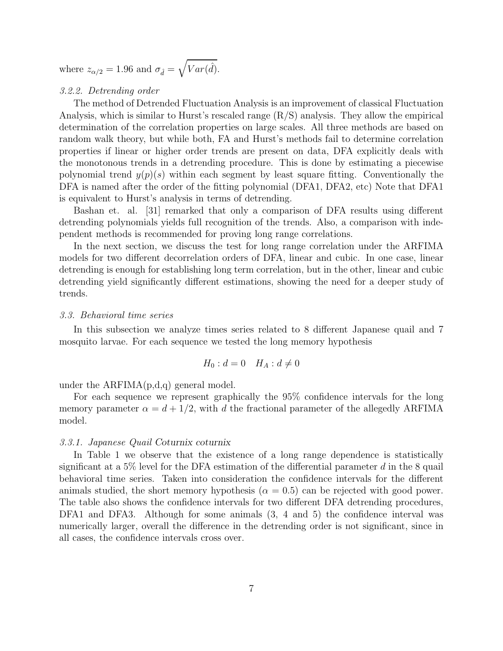where  $z_{\alpha/2} = 1.96$  and  $\sigma_{\hat{d}} = \sqrt{Var(\hat{d})}$ .

#### 3.2.2. Detrending order

The method of Detrended Fluctuation Analysis is an improvement of classical Fluctuation Analysis, which is similar to Hurst's rescaled range  $(R/S)$  analysis. They allow the empirical determination of the correlation properties on large scales. All three methods are based on random walk theory, but while both, FA and Hurst's methods fail to determine correlation properties if linear or higher order trends are present on data, DFA explicitly deals with the monotonous trends in a detrending procedure. This is done by estimating a piecewise polynomial trend  $y(p)(s)$  within each segment by least square fitting. Conventionally the DFA is named after the order of the fitting polynomial (DFA1, DFA2, etc) Note that DFA1 is equivalent to Hurst's analysis in terms of detrending.

Bashan et. al. [31] remarked that only a comparison of DFA results using different detrending polynomials yields full recognition of the trends. Also, a comparison with independent methods is recommended for proving long range correlations.

In the next section, we discuss the test for long range correlation under the ARFIMA models for two different decorrelation orders of DFA, linear and cubic. In one case, linear detrending is enough for establishing long term correlation, but in the other, linear and cubic detrending yield significantly different estimations, showing the need for a deeper study of trends.

### 3.3. Behavioral time series

In this subsection we analyze times series related to 8 different Japanese quail and 7 mosquito larvae. For each sequence we tested the long memory hypothesis

$$
H_0: d = 0 \quad H_A: d \neq 0
$$

under the  $ARFIMA(p,d,q)$  general model.

For each sequence we represent graphically the 95% confidence intervals for the long memory parameter  $\alpha = d + 1/2$ , with d the fractional parameter of the allegedly ARFIMA model.

#### 3.3.1. Japanese Quail Coturnix coturnix

In Table 1 we observe that the existence of a long range dependence is statistically significant at a 5% level for the DFA estimation of the differential parameter  $d$  in the 8 quail behavioral time series. Taken into consideration the confidence intervals for the different animals studied, the short memory hypothesis ( $\alpha = 0.5$ ) can be rejected with good power. The table also shows the confidence intervals for two different DFA detrending procedures, DFA1 and DFA3. Although for some animals  $(3, 4, 4, 5)$  the confidence interval was numerically larger, overall the difference in the detrending order is not significant, since in all cases, the confidence intervals cross over.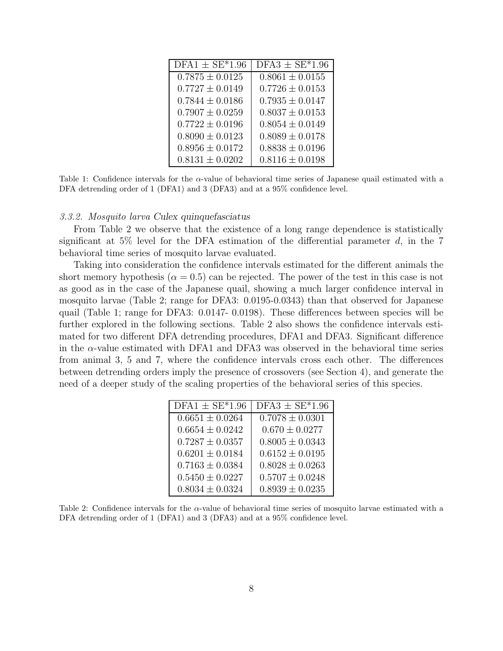| DFA1 $\pm$ SE*1.96  | DFA3 $\pm$ SE*1.96  |
|---------------------|---------------------|
| $0.7875 \pm 0.0125$ | $0.8061 \pm 0.0155$ |
| $0.7727 \pm 0.0149$ | $0.7726 \pm 0.0153$ |
| $0.7844 \pm 0.0186$ | $0.7935 \pm 0.0147$ |
| $0.7907 \pm 0.0259$ | $0.8037 \pm 0.0153$ |
| $0.7722 \pm 0.0196$ | $0.8054 \pm 0.0149$ |
| $0.8090 \pm 0.0123$ | $0.8089 \pm 0.0178$ |
| $0.8956 \pm 0.0172$ | $0.8838 \pm 0.0196$ |
| $0.8131 \pm 0.0202$ | $0.8116 \pm 0.0198$ |

Table 1: Confidence intervals for the  $\alpha$ -value of behavioral time series of Japanese quail estimated with a DFA detrending order of 1 (DFA1) and 3 (DFA3) and at a 95% confidence level.

# 3.3.2. Mosquito larva Culex quinquefasciatus

From Table 2 we observe that the existence of a long range dependence is statistically significant at 5% level for the DFA estimation of the differential parameter d, in the 7 behavioral time series of mosquito larvae evaluated.

Taking into consideration the confidence intervals estimated for the different animals the short memory hypothesis ( $\alpha = 0.5$ ) can be rejected. The power of the test in this case is not as good as in the case of the Japanese quail, showing a much larger confidence interval in mosquito larvae (Table 2; range for DFA3: 0.0195-0.0343) than that observed for Japanese quail (Table 1; range for DFA3: 0.0147- 0.0198). These differences between species will be further explored in the following sections. Table 2 also shows the confidence intervals estimated for two different DFA detrending procedures, DFA1 and DFA3. Significant difference in the  $\alpha$ -value estimated with DFA1 and DFA3 was observed in the behavioral time series from animal 3, 5 and 7, where the confidence intervals cross each other. The differences between detrending orders imply the presence of crossovers (see Section 4), and generate the need of a deeper study of the scaling properties of the behavioral series of this species.

| DFA1 $\pm$ SE <sup>*</sup> 1.96 | DFA3 $\pm$ SE*1.96  |
|---------------------------------|---------------------|
| $0.6651 \pm 0.0264$             | $0.7078 \pm 0.0301$ |
| $0.6654 \pm 0.0242$             | $0.670 \pm 0.0277$  |
| $0.7287 \pm 0.0357$             | $0.8005 \pm 0.0343$ |
| $0.6201 \pm 0.0184$             | $0.6152 \pm 0.0195$ |
| $0.7163 \pm 0.0384$             | $0.8028 \pm 0.0263$ |
| $0.5450 \pm 0.0227$             | $0.5707 \pm 0.0248$ |
| $0.8034 \pm 0.0324$             | $0.8939 \pm 0.0235$ |

Table 2: Confidence intervals for the  $\alpha$ -value of behavioral time series of mosquito larvae estimated with a DFA detrending order of 1 (DFA1) and 3 (DFA3) and at a 95% confidence level.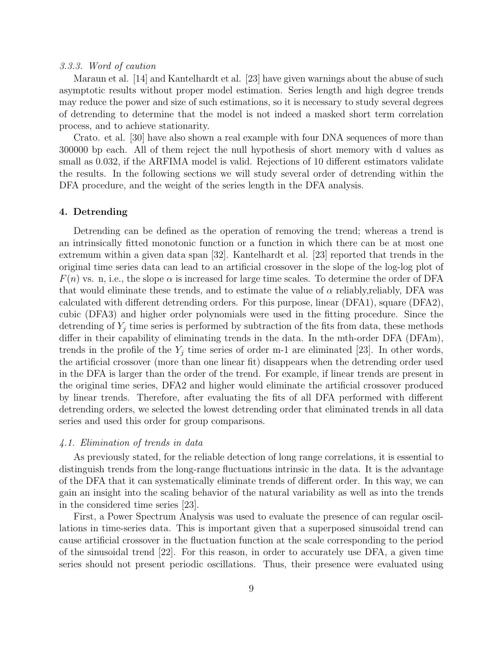#### 3.3.3. Word of caution

Maraun et al. [14] and Kantelhardt et al. [23] have given warnings about the abuse of such asymptotic results without proper model estimation. Series length and high degree trends may reduce the power and size of such estimations, so it is necessary to study several degrees of detrending to determine that the model is not indeed a masked short term correlation process, and to achieve stationarity.

Crato. et al. [30] have also shown a real example with four DNA sequences of more than 300000 bp each. All of them reject the null hypothesis of short memory with d values as small as 0.032, if the ARFIMA model is valid. Rejections of 10 different estimators validate the results. In the following sections we will study several order of detrending within the DFA procedure, and the weight of the series length in the DFA analysis.

# 4. Detrending

Detrending can be defined as the operation of removing the trend; whereas a trend is an intrinsically fitted monotonic function or a function in which there can be at most one extremum within a given data span [32]. Kantelhardt et al. [23] reported that trends in the original time series data can lead to an artificial crossover in the slope of the log-log plot of  $F(n)$  vs. n, i.e., the slope  $\alpha$  is increased for large time scales. To determine the order of DFA that would eliminate these trends, and to estimate the value of  $\alpha$  reliably, reliably, DFA was calculated with different detrending orders. For this purpose, linear (DFA1), square (DFA2), cubic (DFA3) and higher order polynomials were used in the fitting procedure. Since the detrending of  $Y_i$  time series is performed by subtraction of the fits from data, these methods differ in their capability of eliminating trends in the data. In the mth-order DFA (DFAm), trends in the profile of the  $Y_j$  time series of order m-1 are eliminated [23]. In other words, the artificial crossover (more than one linear fit) disappears when the detrending order used in the DFA is larger than the order of the trend. For example, if linear trends are present in the original time series, DFA2 and higher would eliminate the artificial crossover produced by linear trends. Therefore, after evaluating the fits of all DFA performed with different detrending orders, we selected the lowest detrending order that eliminated trends in all data series and used this order for group comparisons.

# 4.1. Elimination of trends in data

As previously stated, for the reliable detection of long range correlations, it is essential to distinguish trends from the long-range fluctuations intrinsic in the data. It is the advantage of the DFA that it can systematically eliminate trends of different order. In this way, we can gain an insight into the scaling behavior of the natural variability as well as into the trends in the considered time series [23].

First, a Power Spectrum Analysis was used to evaluate the presence of can regular oscillations in time-series data. This is important given that a superposed sinusoidal trend can cause artificial crossover in the fluctuation function at the scale corresponding to the period of the sinusoidal trend [22]. For this reason, in order to accurately use DFA, a given time series should not present periodic oscillations. Thus, their presence were evaluated using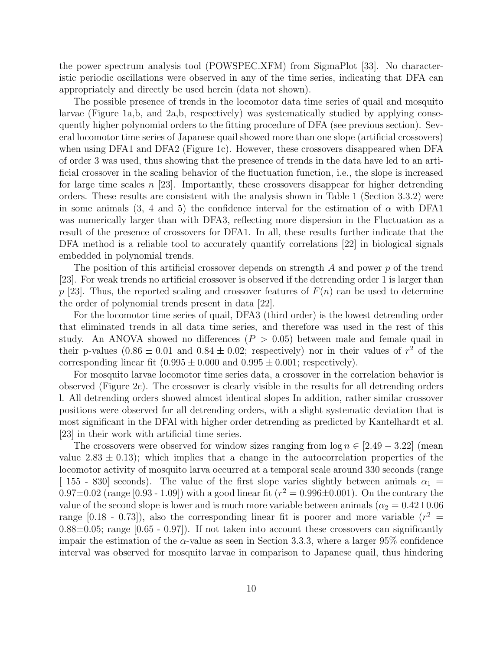the power spectrum analysis tool (POWSPEC.XFM) from SigmaPlot [33]. No characteristic periodic oscillations were observed in any of the time series, indicating that DFA can appropriately and directly be used herein (data not shown).

The possible presence of trends in the locomotor data time series of quail and mosquito larvae (Figure 1a,b, and 2a,b, respectively) was systematically studied by applying consequently higher polynomial orders to the fitting procedure of DFA (see previous section). Several locomotor time series of Japanese quail showed more than one slope (artificial crossovers) when using DFA1 and DFA2 (Figure 1c). However, these crossovers disappeared when DFA of order 3 was used, thus showing that the presence of trends in the data have led to an artificial crossover in the scaling behavior of the fluctuation function, i.e., the slope is increased for large time scales  $n$  [23]. Importantly, these crossovers disappear for higher detrending orders. These results are consistent with the analysis shown in Table 1 (Section 3.3.2) were in some animals (3, 4 and 5) the confidence interval for the estimation of  $\alpha$  with DFA1 was numerically larger than with DFA3, reflecting more dispersion in the Fluctuation as a result of the presence of crossovers for DFA1. In all, these results further indicate that the DFA method is a reliable tool to accurately quantify correlations [22] in biological signals embedded in polynomial trends.

The position of this artificial crossover depends on strength  $A$  and power  $p$  of the trend [23]. For weak trends no artificial crossover is observed if the detrending order 1 is larger than  $p$  [23]. Thus, the reported scaling and crossover features of  $F(n)$  can be used to determine the order of polynomial trends present in data [22].

For the locomotor time series of quail, DFA3 (third order) is the lowest detrending order that eliminated trends in all data time series, and therefore was used in the rest of this study. An ANOVA showed no differences  $(P > 0.05)$  between male and female quail in their p-values  $(0.86 \pm 0.01$  and  $0.84 \pm 0.02$ ; respectively) nor in their values of  $r^2$  of the corresponding linear fit  $(0.995 \pm 0.000$  and  $0.995 \pm 0.001$ ; respectively).

For mosquito larvae locomotor time series data, a crossover in the correlation behavior is observed (Figure 2c). The crossover is clearly visible in the results for all detrending orders l. All detrending orders showed almost identical slopes In addition, rather similar crossover positions were observed for all detrending orders, with a slight systematic deviation that is most significant in the DFAl with higher order detrending as predicted by Kantelhardt et al. [23] in their work with artificial time series.

The crossovers were observed for window sizes ranging from  $log n \in [2.49 - 3.22]$  (mean value  $2.83 \pm 0.13$ ; which implies that a change in the autocorrelation properties of the locomotor activity of mosquito larva occurred at a temporal scale around 330 seconds (range [ 155 - 830] seconds). The value of the first slope varies slightly between animals  $\alpha_1 =$ 0.97 $\pm$ 0.02 (range [0.93 - 1.09]) with a good linear fit ( $r^2 = 0.996 \pm 0.001$ ). On the contrary the value of the second slope is lower and is much more variable between animals ( $\alpha_2 = 0.42 \pm 0.06$ ) range [0.18 - 0.73]), also the corresponding linear fit is poorer and more variable  $(r^2 =$  $0.88\pm0.05$ ; range  $(0.65 - 0.97)$ . If not taken into account these crossovers can significantly impair the estimation of the  $\alpha$ -value as seen in Section 3.3.3, where a larger 95% confidence interval was observed for mosquito larvae in comparison to Japanese quail, thus hindering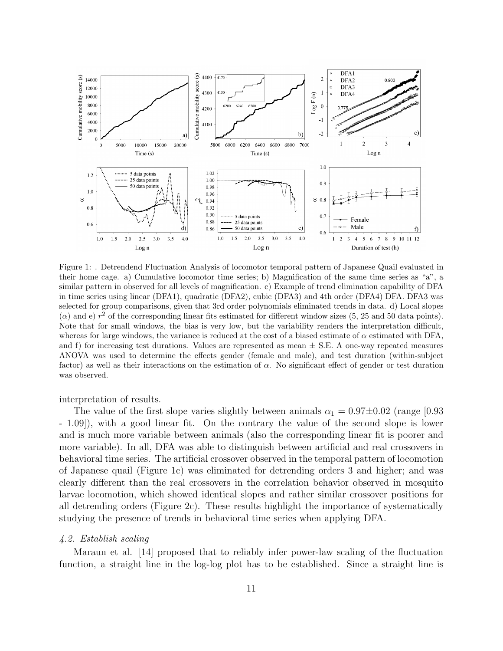

Figure 1: . Detrendend Fluctuation Analysis of locomotor temporal pattern of Japanese Quail evaluated in their home cage. a) Cumulative locomotor time series; b) Magnification of the same time series as "a", a similar pattern in observed for all levels of magnification. c) Example of trend elimination capability of DFA in time series using linear (DFA1), quadratic (DFA2), cubic (DFA3) and 4th order (DFA4) DFA. DFA3 was selected for group comparisons, given that 3rd order polynomials eliminated trends in data. d) Local slopes ( $\alpha$ ) and e)  $r^2$  of the corresponding linear fits estimated for different window sizes (5, 25 and 50 data points). Note that for small windows, the bias is very low, but the variability renders the interpretation difficult, whereas for large windows, the variance is reduced at the cost of a biased estimate of  $\alpha$  estimated with DFA, and f) for increasing test durations. Values are represented as mean  $\pm$  S.E. A one-way repeated measures ANOVA was used to determine the effects gender (female and male), and test duration (within-subject factor) as well as their interactions on the estimation of  $\alpha$ . No significant effect of gender or test duration was observed.

interpretation of results.

The value of the first slope varies slightly between animals  $\alpha_1 = 0.97 \pm 0.02$  (range [0.93] - 1.09]), with a good linear fit. On the contrary the value of the second slope is lower and is much more variable between animals (also the corresponding linear fit is poorer and more variable). In all, DFA was able to distinguish between artificial and real crossovers in behavioral time series. The artificial crossover observed in the temporal pattern of locomotion of Japanese quail (Figure 1c) was eliminated for detrending orders 3 and higher; and was clearly different than the real crossovers in the correlation behavior observed in mosquito larvae locomotion, which showed identical slopes and rather similar crossover positions for all detrending orders (Figure 2c). These results highlight the importance of systematically studying the presence of trends in behavioral time series when applying DFA.

#### 4.2. Establish scaling

Maraun et al. [14] proposed that to reliably infer power-law scaling of the fluctuation function, a straight line in the log-log plot has to be established. Since a straight line is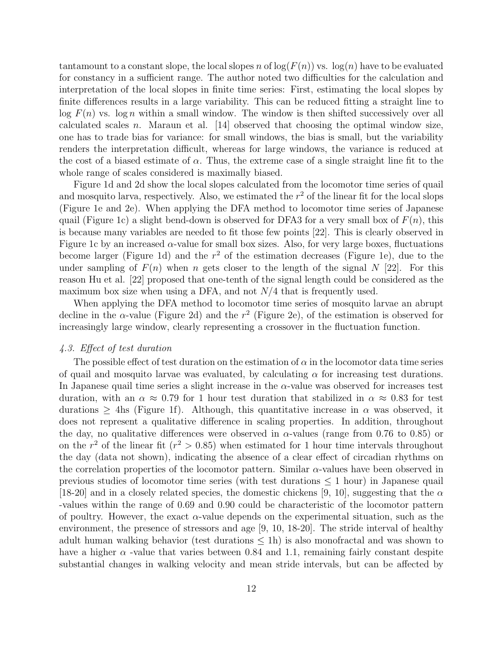tantamount to a constant slope, the local slopes n of  $log(F(n))$  vs.  $log(n)$  have to be evaluated for constancy in a sufficient range. The author noted two difficulties for the calculation and interpretation of the local slopes in finite time series: First, estimating the local slopes by finite differences results in a large variability. This can be reduced fitting a straight line to  $\log F(n)$  vs.  $\log n$  within a small window. The window is then shifted successively over all calculated scales n. Maraun et al.  $\left[14\right]$  observed that choosing the optimal window size, one has to trade bias for variance: for small windows, the bias is small, but the variability renders the interpretation difficult, whereas for large windows, the variance is reduced at the cost of a biased estimate of  $\alpha$ . Thus, the extreme case of a single straight line fit to the whole range of scales considered is maximally biased.

Figure 1d and 2d show the local slopes calculated from the locomotor time series of quail and mosquito larva, respectively. Also, we estimated the  $r^2$  of the linear fit for the local slops (Figure 1e and 2e). When applying the DFA method to locomotor time series of Japanese quail (Figure 1c) a slight bend-down is observed for DFA3 for a very small box of  $F(n)$ , this is because many variables are needed to fit those few points [22]. This is clearly observed in Figure 1c by an increased  $\alpha$ -value for small box sizes. Also, for very large boxes, fluctuations become larger (Figure 1d) and the  $r^2$  of the estimation decreases (Figure 1e), due to the under sampling of  $F(n)$  when n gets closer to the length of the signal N [22]. For this reason Hu et al. [22] proposed that one-tenth of the signal length could be considered as the maximum box size when using a DFA, and not  $N/4$  that is frequently used.

When applying the DFA method to locomotor time series of mosquito larvae an abrupt decline in the  $\alpha$ -value (Figure 2d) and the  $r^2$  (Figure 2e), of the estimation is observed for increasingly large window, clearly representing a crossover in the fluctuation function.

# 4.3. Effect of test duration

The possible effect of test duration on the estimation of  $\alpha$  in the locomotor data time series of quail and mosquito larvae was evaluated, by calculating  $\alpha$  for increasing test durations. In Japanese quail time series a slight increase in the  $\alpha$ -value was observed for increases test duration, with an  $\alpha \approx 0.79$  for 1 hour test duration that stabilized in  $\alpha \approx 0.83$  for test durations  $\geq$  4hs (Figure 1f). Although, this quantitative increase in  $\alpha$  was observed, it does not represent a qualitative difference in scaling properties. In addition, throughout the day, no qualitative differences were observed in  $\alpha$ -values (range from 0.76 to 0.85) or on the  $r^2$  of the linear fit ( $r^2 > 0.85$ ) when estimated for 1 hour time intervals throughout the day (data not shown), indicating the absence of a clear effect of circadian rhythms on the correlation properties of the locomotor pattern. Similar  $\alpha$ -values have been observed in previous studies of locomotor time series (with test durations ≤ 1 hour) in Japanese quail [18-20] and in a closely related species, the domestic chickens [9, 10], suggesting that the  $\alpha$ -values within the range of 0.69 and 0.90 could be characteristic of the locomotor pattern of poultry. However, the exact  $\alpha$ -value depends on the experimental situation, such as the environment, the presence of stressors and age [9, 10, 18-20]. The stride interval of healthy adult human walking behavior (test durations  $\leq$  1h) is also monofractal and was shown to have a higher  $\alpha$  -value that varies between 0.84 and 1.1, remaining fairly constant despite substantial changes in walking velocity and mean stride intervals, but can be affected by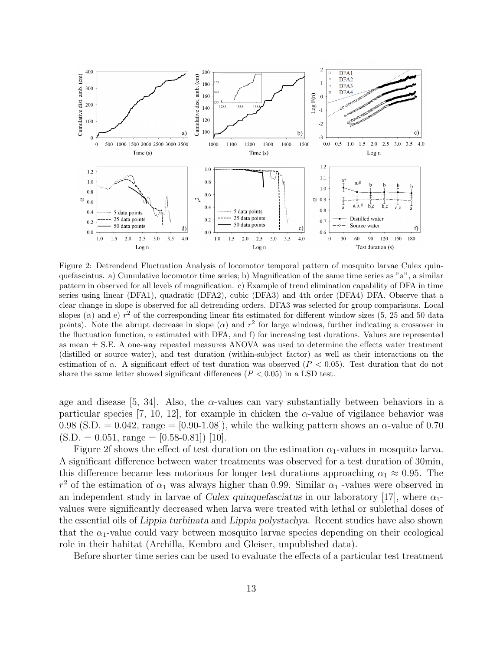

Figure 2: Detrendend Fluctuation Analysis of locomotor temporal pattern of mosquito larvae Culex quinquefasciatus. a) Cumulative locomotor time series; b) Magnification of the same time series as "a", a similar pattern in observed for all levels of magnification. c) Example of trend elimination capability of DFA in time series using linear (DFA1), quadratic (DFA2), cubic (DFA3) and 4th order (DFA4) DFA. Observe that a clear change in slope is observed for all detrending orders. DFA3 was selected for group comparisons. Local slopes ( $\alpha$ ) and e)  $r^2$  of the corresponding linear fits estimated for different window sizes (5, 25 and 50 data points). Note the abrupt decrease in slope ( $\alpha$ ) and  $r^2$  for large windows, further indicating a crossover in the fluctuation function,  $\alpha$  estimated with DFA, and f) for increasing test durations. Values are represented as mean  $\pm$  S.E. A one-way repeated measures ANOVA was used to determine the effects water treatment (distilled or source water), and test duration (within-subject factor) as well as their interactions on the estimation of  $\alpha$ . A significant effect of test duration was observed ( $P < 0.05$ ). Test duration that do not share the same letter showed significant differences  $(P < 0.05)$  in a LSD test.

age and disease [5, 34]. Also, the  $\alpha$ -values can vary substantially between behaviors in a particular species [7, 10, 12], for example in chicken the  $\alpha$ -value of vigilance behavior was 0.98 (S.D.  $= 0.042$ , range  $= [0.90-1.08]$ ), while the walking pattern shows an  $\alpha$ -value of 0.70  $(S.D. = 0.051, range = [0.58-0.81])$  [10].

Figure 2f shows the effect of test duration on the estimation  $\alpha_1$ -values in mosquito larva. A significant difference between water treatments was observed for a test duration of 30min, this difference became less notorious for longer test durations approaching  $\alpha_1 \approx 0.95$ . The  $r^2$  of the estimation of  $\alpha_1$  was always higher than 0.99. Similar  $\alpha_1$  -values were observed in an independent study in larvae of Culex quinquefasciatus in our laboratory [17], where  $\alpha_1$ values were significantly decreased when larva were treated with lethal or sublethal doses of the essential oils of Lippia turbinata and Lippia polystachya. Recent studies have also shown that the  $\alpha_1$ -value could vary between mosquito larvae species depending on their ecological role in their habitat (Archilla, Kembro and Gleiser, unpublished data).

Before shorter time series can be used to evaluate the effects of a particular test treatment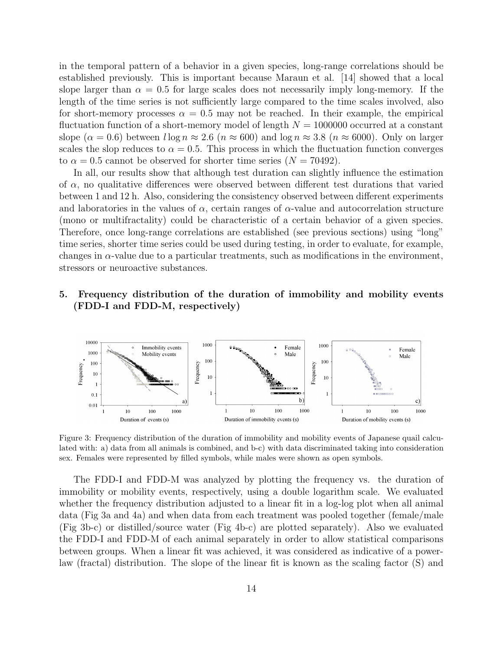in the temporal pattern of a behavior in a given species, long-range correlations should be established previously. This is important because Maraun et al. [14] showed that a local slope larger than  $\alpha = 0.5$  for large scales does not necessarily imply long-memory. If the length of the time series is not sufficiently large compared to the time scales involved, also for short-memory processes  $\alpha = 0.5$  may not be reached. In their example, the empirical fluctuation function of a short-memory model of length  $N = 1000000$  occurred at a constant slope ( $\alpha = 0.6$ ) between  $l \log n \approx 2.6$  ( $n \approx 600$ ) and  $\log n \approx 3.8$  ( $n \approx 6000$ ). Only on larger scales the slop reduces to  $\alpha = 0.5$ . This process in which the fluctuation function converges to  $\alpha = 0.5$  cannot be observed for shorter time series  $(N = 70492)$ .

In all, our results show that although test duration can slightly influence the estimation of  $\alpha$ , no qualitative differences were observed between different test durations that varied between 1 and 12 h. Also, considering the consistency observed between different experiments and laboratories in the values of  $\alpha$ , certain ranges of  $\alpha$ -value and autocorrelation structure (mono or multifractality) could be characteristic of a certain behavior of a given species. Therefore, once long-range correlations are established (see previous sections) using "long" time series, shorter time series could be used during testing, in order to evaluate, for example, changes in  $\alpha$ -value due to a particular treatments, such as modifications in the environment, stressors or neuroactive substances.

# 5. Frequency distribution of the duration of immobility and mobility events (FDD-I and FDD-M, respectively)



Figure 3: Frequency distribution of the duration of immobility and mobility events of Japanese quail calculated with: a) data from all animals is combined, and b-c) with data discriminated taking into consideration sex. Females were represented by filled symbols, while males were shown as open symbols.

The FDD-I and FDD-M was analyzed by plotting the frequency vs. the duration of immobility or mobility events, respectively, using a double logarithm scale. We evaluated whether the frequency distribution adjusted to a linear fit in a log-log plot when all animal data (Fig 3a and 4a) and when data from each treatment was pooled together (female/male (Fig 3b-c) or distilled/source water (Fig 4b-c) are plotted separately). Also we evaluated the FDD-I and FDD-M of each animal separately in order to allow statistical comparisons between groups. When a linear fit was achieved, it was considered as indicative of a powerlaw (fractal) distribution. The slope of the linear fit is known as the scaling factor (S) and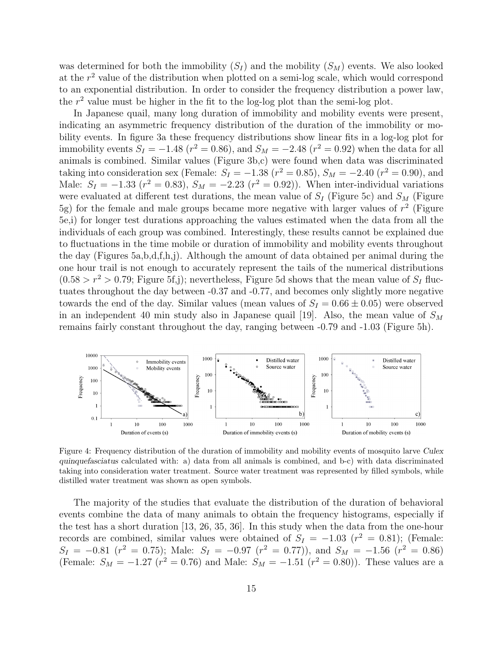was determined for both the immobility  $(S_I)$  and the mobility  $(S_M)$  events. We also looked at the  $r^2$  value of the distribution when plotted on a semi-log scale, which would correspond to an exponential distribution. In order to consider the frequency distribution a power law, the  $r<sup>2</sup>$  value must be higher in the fit to the log-log plot than the semi-log plot.

In Japanese quail, many long duration of immobility and mobility events were present, indicating an asymmetric frequency distribution of the duration of the immobility or mobility events. In figure 3a these frequency distributions show linear fits in a log-log plot for immobility events  $S_I = -1.48$  ( $r^2 = 0.86$ ), and  $S_M = -2.48$  ( $r^2 = 0.92$ ) when the data for all animals is combined. Similar values (Figure 3b,c) were found when data was discriminated taking into consideration sex (Female:  $S_I = -1.38$  ( $r^2 = 0.85$ ),  $S_M = -2.40$  ( $r^2 = 0.90$ ), and Male:  $S_I = -1.33$   $(r^2 = 0.83)$ ,  $S_M = -2.23$   $(r^2 = 0.92)$ . When inter-individual variations were evaluated at different test durations, the mean value of  $S_I$  (Figure 5c) and  $S_M$  (Figure 5g) for the female and male groups became more negative with larger values of  $r^2$  (Figure 5e,i) for longer test durations approaching the values estimated when the data from all the individuals of each group was combined. Interestingly, these results cannot be explained due to fluctuations in the time mobile or duration of immobility and mobility events throughout the day (Figures 5a,b,d,f,h,j). Although the amount of data obtained per animal during the one hour trail is not enough to accurately represent the tails of the numerical distributions  $(0.58 > r^2 > 0.79$ ; Figure 5f,j); nevertheless, Figure 5d shows that the mean value of  $S_I$  fluctuates throughout the day between -0.37 and -0.77, and becomes only slightly more negative towards the end of the day. Similar values (mean values of  $S_I = 0.66 \pm 0.05$ ) were observed in an independent 40 min study also in Japanese quail [19]. Also, the mean value of  $S_M$ remains fairly constant throughout the day, ranging between -0.79 and -1.03 (Figure 5h).



Figure 4: Frequency distribution of the duration of immobility and mobility events of mosquito larve Culex quinquefasciatus calculated with: a) data from all animals is combined, and b-c) with data discriminated taking into consideration water treatment. Source water treatment was represented by filled symbols, while distilled water treatment was shown as open symbols.

The majority of the studies that evaluate the distribution of the duration of behavioral events combine the data of many animals to obtain the frequency histograms, especially if the test has a short duration [13, 26, 35, 36]. In this study when the data from the one-hour records are combined, similar values were obtained of  $S_I = -1.03$  ( $r^2 = 0.81$ ); (Female:  $S_I = -0.81$  ( $r^2 = 0.75$ ); Male:  $S_I = -0.97$  ( $r^2 = 0.77$ )), and  $S_M = -1.56$  ( $r^2 = 0.86$ ) (Female:  $S_M = -1.27$  ( $r^2 = 0.76$ ) and Male:  $S_M = -1.51$  ( $r^2 = 0.80$ )). These values are a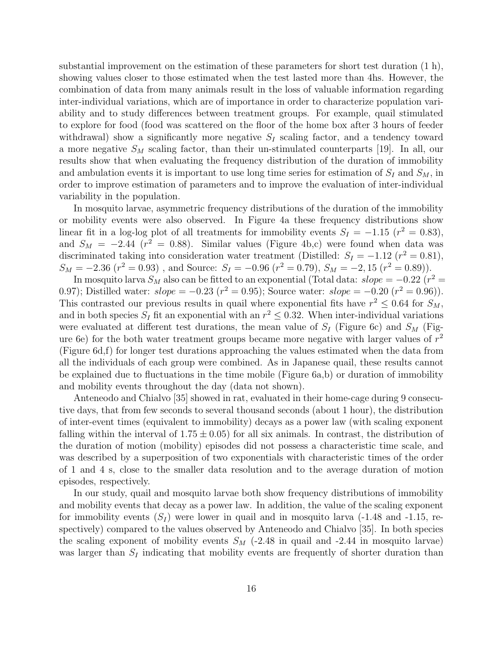substantial improvement on the estimation of these parameters for short test duration (1 h), showing values closer to those estimated when the test lasted more than 4hs. However, the combination of data from many animals result in the loss of valuable information regarding inter-individual variations, which are of importance in order to characterize population variability and to study differences between treatment groups. For example, quail stimulated to explore for food (food was scattered on the floor of the home box after 3 hours of feeder withdrawal) show a significantly more negative  $S_I$  scaling factor, and a tendency toward a more negative  $S_M$  scaling factor, than their un-stimulated counterparts [19]. In all, our results show that when evaluating the frequency distribution of the duration of immobility and ambulation events it is important to use long time series for estimation of  $S_I$  and  $S_M$ , in order to improve estimation of parameters and to improve the evaluation of inter-individual variability in the population.

In mosquito larvae, asymmetric frequency distributions of the duration of the immobility or mobility events were also observed. In Figure 4a these frequency distributions show linear fit in a log-log plot of all treatments for immobility events  $S_I = -1.15$  ( $r^2 = 0.83$ ), and  $S_M = -2.44$  ( $r^2 = 0.88$ ). Similar values (Figure 4b,c) were found when data was discriminated taking into consideration water treatment (Distilled:  $S_I = -1.12$  ( $r^2 = 0.81$ ),  $S_M = -2.36 \; (r^2 = 0.93)$ , and Source:  $S_I = -0.96 \; (r^2 = 0.79)$ ,  $S_M = -2.15 \; (r^2 = 0.89)$ .

In mosquito larva  $S_M$  also can be fitted to an exponential (Total data:  $slope = -0.22$  ( $r^2 =$ 0.97); Distilled water:  $slope = -0.23 (r^2 = 0.95)$ ; Source water:  $slope = -0.20 (r^2 = 0.96)$ . This contrasted our previous results in quail where exponential fits have  $r^2 \leq 0.64$  for  $S_M$ , and in both species  $S_I$  fit an exponential with an  $r^2 \leq 0.32$ . When inter-individual variations were evaluated at different test durations, the mean value of  $S_I$  (Figure 6c) and  $S_M$  (Figure 6e) for the both water treatment groups became more negative with larger values of  $r^2$ (Figure 6d,f) for longer test durations approaching the values estimated when the data from all the individuals of each group were combined. As in Japanese quail, these results cannot be explained due to fluctuations in the time mobile (Figure 6a,b) or duration of immobility and mobility events throughout the day (data not shown).

Anteneodo and Chialvo [35] showed in rat, evaluated in their home-cage during 9 consecutive days, that from few seconds to several thousand seconds (about 1 hour), the distribution of inter-event times (equivalent to immobility) decays as a power law (with scaling exponent falling within the interval of  $1.75 \pm 0.05$  for all six animals. In contrast, the distribution of the duration of motion (mobility) episodes did not possess a characteristic time scale, and was described by a superposition of two exponentials with characteristic times of the order of 1 and 4 s, close to the smaller data resolution and to the average duration of motion episodes, respectively.

In our study, quail and mosquito larvae both show frequency distributions of immobility and mobility events that decay as a power law. In addition, the value of the scaling exponent for immobility events  $(S_I)$  were lower in quail and in mosquito larva (-1.48 and -1.15, respectively) compared to the values observed by Anteneodo and Chialvo [35]. In both species the scaling exponent of mobility events  $S_M$  (-2.48 in quail and -2.44 in mosquito larvae) was larger than  $S_I$  indicating that mobility events are frequently of shorter duration than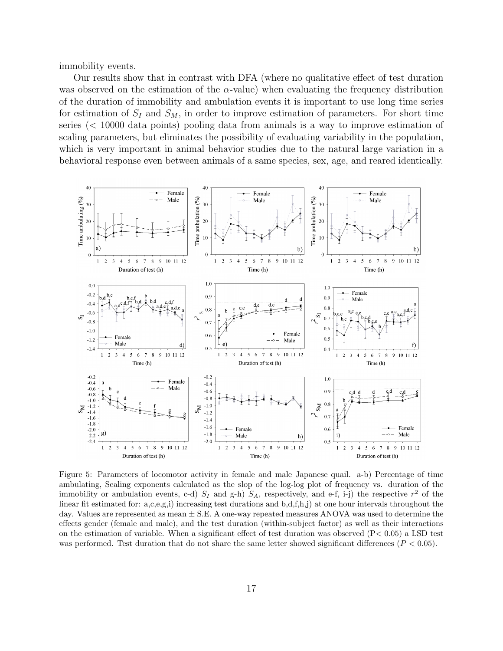immobility events.

Our results show that in contrast with DFA (where no qualitative effect of test duration was observed on the estimation of the  $\alpha$ -value) when evaluating the frequency distribution of the duration of immobility and ambulation events it is important to use long time series for estimation of  $S_I$  and  $S_M$ , in order to improve estimation of parameters. For short time series (< 10000 data points) pooling data from animals is a way to improve estimation of scaling parameters, but eliminates the possibility of evaluating variability in the population, which is very important in animal behavior studies due to the natural large variation in a behavioral response even between animals of a same species, sex, age, and reared identically.



Figure 5: Parameters of locomotor activity in female and male Japanese quail. a-b) Percentage of time ambulating, Scaling exponents calculated as the slop of the log-log plot of frequency vs. duration of the immobility or ambulation events, c-d)  $S_I$  and g-h)  $S_A$ , respectively, and e-f, i-j) the respective  $r^2$  of the linear fit estimated for: a,c,e,g,i) increasing test durations and b,d,f,h,j) at one hour intervals throughout the day. Values are represented as mean  $\pm$  S.E. A one-way repeated measures ANOVA was used to determine the effects gender (female and male), and the test duration (within-subject factor) as well as their interactions on the estimation of variable. When a significant effect of test duration was observed  $(P< 0.05)$  a LSD test was performed. Test duration that do not share the same letter showed significant differences  $(P < 0.05)$ .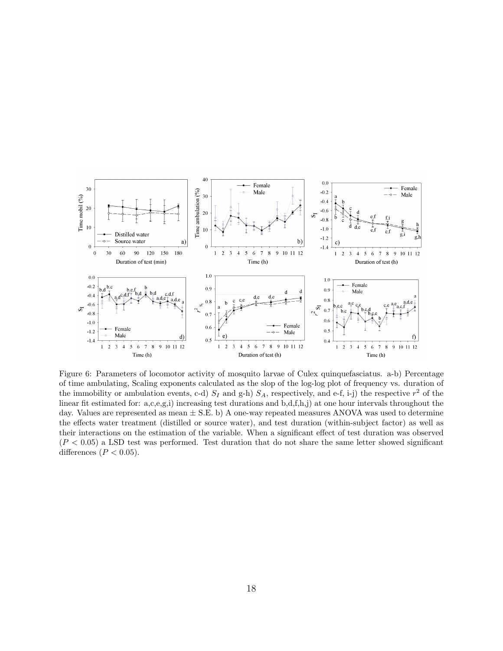

Figure 6: Parameters of locomotor activity of mosquito larvae of Culex quinquefasciatus. a-b) Percentage of time ambulating, Scaling exponents calculated as the slop of the log-log plot of frequency vs. duration of the immobility or ambulation events, c-d)  $S_I$  and g-h)  $S_A$ , respectively, and e-f, i-j) the respective  $r^2$  of the linear fit estimated for:  $a,c,e,g,i$ ) increasing test durations and  $b,d,f,h,j$  at one hour intervals throughout the day. Values are represented as mean  $\pm$  S.E. b) A one-way repeated measures ANOVA was used to determine the effects water treatment (distilled or source water), and test duration (within-subject factor) as well as their interactions on the estimation of the variable. When a significant effect of test duration was observed  $(P < 0.05)$  a LSD test was performed. Test duration that do not share the same letter showed significant differences  $(P < 0.05)$ .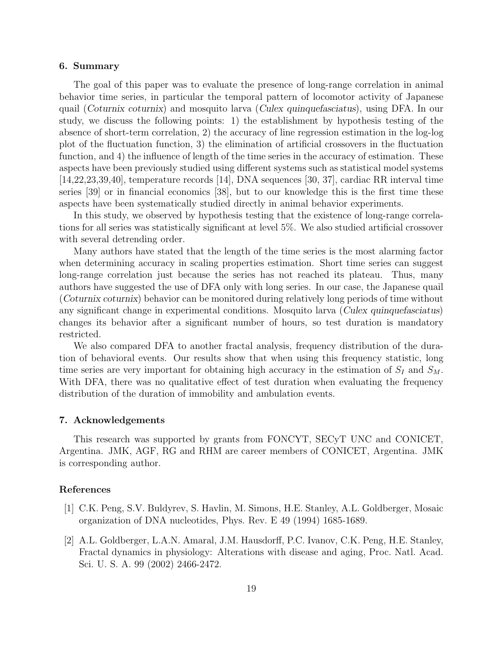#### 6. Summary

The goal of this paper was to evaluate the presence of long-range correlation in animal behavior time series, in particular the temporal pattern of locomotor activity of Japanese quail (Coturnix coturnix) and mosquito larva (Culex quinquefasciatus), using DFA. In our study, we discuss the following points: 1) the establishment by hypothesis testing of the absence of short-term correlation, 2) the accuracy of line regression estimation in the log-log plot of the fluctuation function, 3) the elimination of artificial crossovers in the fluctuation function, and 4) the influence of length of the time series in the accuracy of estimation. These aspects have been previously studied using different systems such as statistical model systems [14,22,23,39,40], temperature records [14], DNA sequences [30, 37], cardiac RR interval time series [39] or in financial economics [38], but to our knowledge this is the first time these aspects have been systematically studied directly in animal behavior experiments.

In this study, we observed by hypothesis testing that the existence of long-range correlations for all series was statistically significant at level 5%. We also studied artificial crossover with several detrending order.

Many authors have stated that the length of the time series is the most alarming factor when determining accuracy in scaling properties estimation. Short time series can suggest long-range correlation just because the series has not reached its plateau. Thus, many authors have suggested the use of DFA only with long series. In our case, the Japanese quail (Coturnix coturnix) behavior can be monitored during relatively long periods of time without any significant change in experimental conditions. Mosquito larva (Culex quinquefasciatus) changes its behavior after a significant number of hours, so test duration is mandatory restricted.

We also compared DFA to another fractal analysis, frequency distribution of the duration of behavioral events. Our results show that when using this frequency statistic, long time series are very important for obtaining high accuracy in the estimation of  $S_I$  and  $S_M$ . With DFA, there was no qualitative effect of test duration when evaluating the frequency distribution of the duration of immobility and ambulation events.

# 7. Acknowledgements

This research was supported by grants from FONCYT, SECyT UNC and CONICET, Argentina. JMK, AGF, RG and RHM are career members of CONICET, Argentina. JMK is corresponding author.

# References

- [1] C.K. Peng, S.V. Buldyrev, S. Havlin, M. Simons, H.E. Stanley, A.L. Goldberger, Mosaic organization of DNA nucleotides, Phys. Rev. E 49 (1994) 1685-1689.
- [2] A.L. Goldberger, L.A.N. Amaral, J.M. Hausdorff, P.C. Ivanov, C.K. Peng, H.E. Stanley, Fractal dynamics in physiology: Alterations with disease and aging, Proc. Natl. Acad. Sci. U. S. A. 99 (2002) 2466-2472.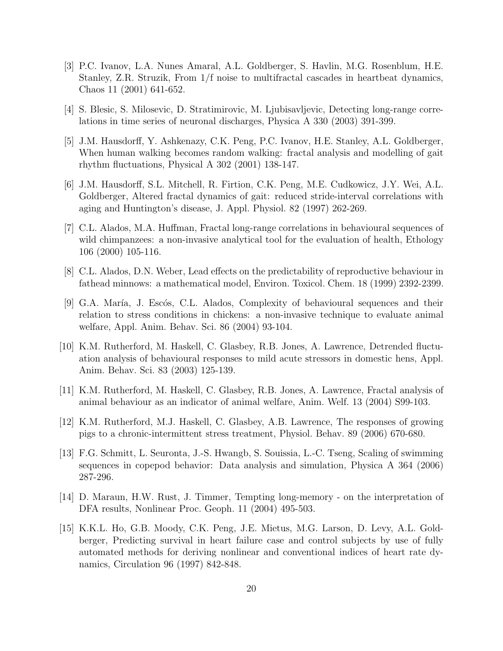- [3] P.C. Ivanov, L.A. Nunes Amaral, A.L. Goldberger, S. Havlin, M.G. Rosenblum, H.E. Stanley, Z.R. Struzik, From 1/f noise to multifractal cascades in heartbeat dynamics, Chaos 11 (2001) 641-652.
- [4] S. Blesic, S. Milosevic, D. Stratimirovic, M. Ljubisavljevic, Detecting long-range correlations in time series of neuronal discharges, Physica A 330 (2003) 391-399.
- [5] J.M. Hausdorff, Y. Ashkenazy, C.K. Peng, P.C. Ivanov, H.E. Stanley, A.L. Goldberger, When human walking becomes random walking: fractal analysis and modelling of gait rhythm fluctuations, Physical A 302 (2001) 138-147.
- [6] J.M. Hausdorff, S.L. Mitchell, R. Firtion, C.K. Peng, M.E. Cudkowicz, J.Y. Wei, A.L. Goldberger, Altered fractal dynamics of gait: reduced stride-interval correlations with aging and Huntington's disease, J. Appl. Physiol. 82 (1997) 262-269.
- [7] C.L. Alados, M.A. Huffman, Fractal long-range correlations in behavioural sequences of wild chimpanzees: a non-invasive analytical tool for the evaluation of health, Ethology 106 (2000) 105-116.
- [8] C.L. Alados, D.N. Weber, Lead effects on the predictability of reproductive behaviour in fathead minnows: a mathematical model, Environ. Toxicol. Chem. 18 (1999) 2392-2399.
- [9] G.A. María, J. Escós, C.L. Alados, Complexity of behavioural sequences and their relation to stress conditions in chickens: a non-invasive technique to evaluate animal welfare, Appl. Anim. Behav. Sci. 86 (2004) 93-104.
- [10] K.M. Rutherford, M. Haskell, C. Glasbey, R.B. Jones, A. Lawrence, Detrended fluctuation analysis of behavioural responses to mild acute stressors in domestic hens, Appl. Anim. Behav. Sci. 83 (2003) 125-139.
- [11] K.M. Rutherford, M. Haskell, C. Glasbey, R.B. Jones, A. Lawrence, Fractal analysis of animal behaviour as an indicator of animal welfare, Anim. Welf. 13 (2004) S99-103.
- [12] K.M. Rutherford, M.J. Haskell, C. Glasbey, A.B. Lawrence, The responses of growing pigs to a chronic-intermittent stress treatment, Physiol. Behav. 89 (2006) 670-680.
- [13] F.G. Schmitt, L. Seuronta, J.-S. Hwangb, S. Souissia, L.-C. Tseng, Scaling of swimming sequences in copepod behavior: Data analysis and simulation, Physica A 364 (2006) 287-296.
- [14] D. Maraun, H.W. Rust, J. Timmer, Tempting long-memory on the interpretation of DFA results, Nonlinear Proc. Geoph. 11 (2004) 495-503.
- [15] K.K.L. Ho, G.B. Moody, C.K. Peng, J.E. Mietus, M.G. Larson, D. Levy, A.L. Goldberger, Predicting survival in heart failure case and control subjects by use of fully automated methods for deriving nonlinear and conventional indices of heart rate dynamics, Circulation 96 (1997) 842-848.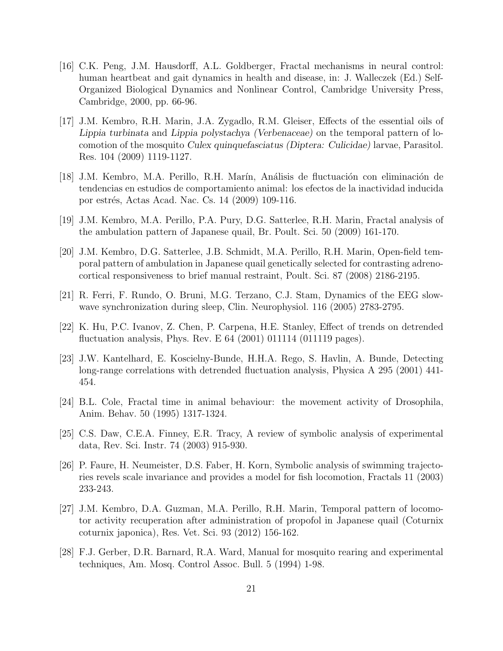- [16] C.K. Peng, J.M. Hausdorff, A.L. Goldberger, Fractal mechanisms in neural control: human heartbeat and gait dynamics in health and disease, in: J. Walleczek (Ed.) Self-Organized Biological Dynamics and Nonlinear Control, Cambridge University Press, Cambridge, 2000, pp. 66-96.
- [17] J.M. Kembro, R.H. Marin, J.A. Zygadlo, R.M. Gleiser, Effects of the essential oils of Lippia turbinata and Lippia polystachya (Verbenaceae) on the temporal pattern of locomotion of the mosquito Culex quinquefasciatus (Diptera: Culicidae) larvae, Parasitol. Res. 104 (2009) 1119-1127.
- [18] J.M. Kembro, M.A. Perillo, R.H. Marín, Análisis de fluctuación con eliminación de tendencias en estudios de comportamiento animal: los efectos de la inactividad inducida por estr´es, Actas Acad. Nac. Cs. 14 (2009) 109-116.
- [19] J.M. Kembro, M.A. Perillo, P.A. Pury, D.G. Satterlee, R.H. Marin, Fractal analysis of the ambulation pattern of Japanese quail, Br. Poult. Sci. 50 (2009) 161-170.
- [20] J.M. Kembro, D.G. Satterlee, J.B. Schmidt, M.A. Perillo, R.H. Marin, Open-field temporal pattern of ambulation in Japanese quail genetically selected for contrasting adrenocortical responsiveness to brief manual restraint, Poult. Sci. 87 (2008) 2186-2195.
- [21] R. Ferri, F. Rundo, O. Bruni, M.G. Terzano, C.J. Stam, Dynamics of the EEG slowwave synchronization during sleep, Clin. Neurophysiol. 116 (2005) 2783-2795.
- [22] K. Hu, P.C. Ivanov, Z. Chen, P. Carpena, H.E. Stanley, Effect of trends on detrended fluctuation analysis, Phys. Rev. E 64 (2001) 011114 (011119 pages).
- [23] J.W. Kantelhard, E. Koscielny-Bunde, H.H.A. Rego, S. Havlin, A. Bunde, Detecting long-range correlations with detrended fluctuation analysis, Physica A 295 (2001) 441- 454.
- [24] B.L. Cole, Fractal time in animal behaviour: the movement activity of Drosophila, Anim. Behav. 50 (1995) 1317-1324.
- [25] C.S. Daw, C.E.A. Finney, E.R. Tracy, A review of symbolic analysis of experimental data, Rev. Sci. Instr. 74 (2003) 915-930.
- [26] P. Faure, H. Neumeister, D.S. Faber, H. Korn, Symbolic analysis of swimming trajectories revels scale invariance and provides a model for fish locomotion, Fractals 11 (2003) 233-243.
- [27] J.M. Kembro, D.A. Guzman, M.A. Perillo, R.H. Marin, Temporal pattern of locomotor activity recuperation after administration of propofol in Japanese quail (Coturnix coturnix japonica), Res. Vet. Sci. 93 (2012) 156-162.
- [28] F.J. Gerber, D.R. Barnard, R.A. Ward, Manual for mosquito rearing and experimental techniques, Am. Mosq. Control Assoc. Bull. 5 (1994) 1-98.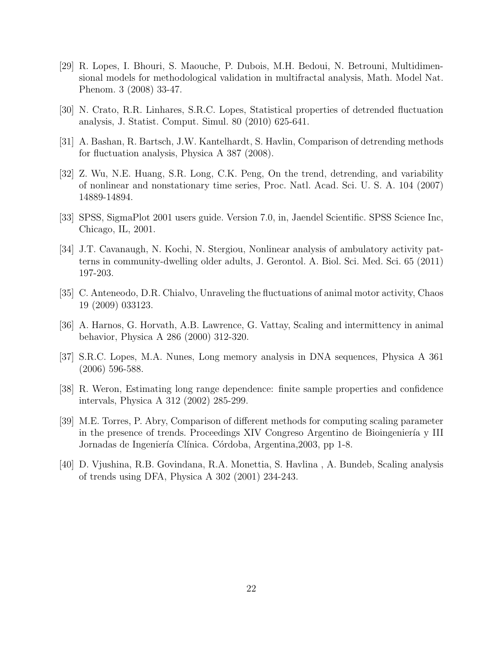- [29] R. Lopes, I. Bhouri, S. Maouche, P. Dubois, M.H. Bedoui, N. Betrouni, Multidimensional models for methodological validation in multifractal analysis, Math. Model Nat. Phenom. 3 (2008) 33-47.
- [30] N. Crato, R.R. Linhares, S.R.C. Lopes, Statistical properties of detrended fluctuation analysis, J. Statist. Comput. Simul. 80 (2010) 625-641.
- [31] A. Bashan, R. Bartsch, J.W. Kantelhardt, S. Havlin, Comparison of detrending methods for fluctuation analysis, Physica A 387 (2008).
- [32] Z. Wu, N.E. Huang, S.R. Long, C.K. Peng, On the trend, detrending, and variability of nonlinear and nonstationary time series, Proc. Natl. Acad. Sci. U. S. A. 104 (2007) 14889-14894.
- [33] SPSS, SigmaPlot 2001 users guide. Version 7.0, in, Jaendel Scientific. SPSS Science Inc, Chicago, IL, 2001.
- [34] J.T. Cavanaugh, N. Kochi, N. Stergiou, Nonlinear analysis of ambulatory activity patterns in community-dwelling older adults, J. Gerontol. A. Biol. Sci. Med. Sci. 65 (2011) 197-203.
- [35] C. Anteneodo, D.R. Chialvo, Unraveling the fluctuations of animal motor activity, Chaos 19 (2009) 033123.
- [36] A. Harnos, G. Horvath, A.B. Lawrence, G. Vattay, Scaling and intermittency in animal behavior, Physica A 286 (2000) 312-320.
- [37] S.R.C. Lopes, M.A. Nunes, Long memory analysis in DNA sequences, Physica A 361 (2006) 596-588.
- [38] R. Weron, Estimating long range dependence: finite sample properties and confidence intervals, Physica A 312 (2002) 285-299.
- [39] M.E. Torres, P. Abry, Comparison of different methods for computing scaling parameter in the presence of trends. Proceedings XIV Congreso Argentino de Bioingeniería y III Jornadas de Ingeniería Clínica. Córdoba, Argentina, 2003, pp 1-8.
- [40] D. Vjushina, R.B. Govindana, R.A. Monettia, S. Havlina , A. Bundeb, Scaling analysis of trends using DFA, Physica A 302 (2001) 234-243.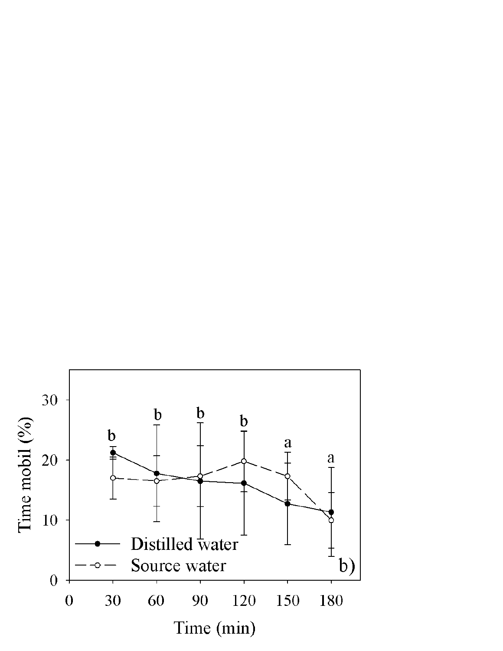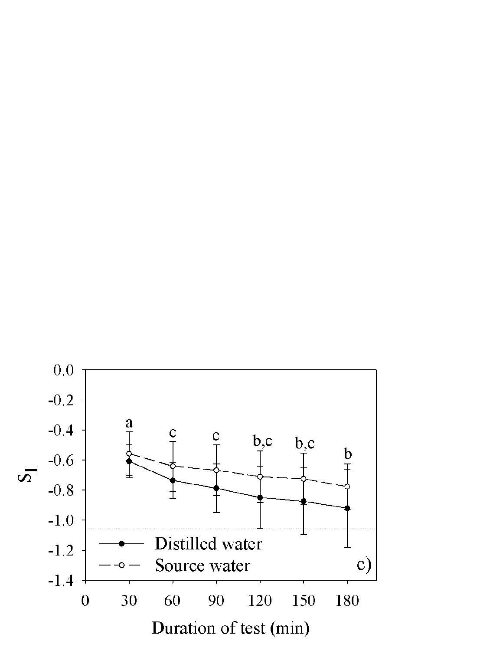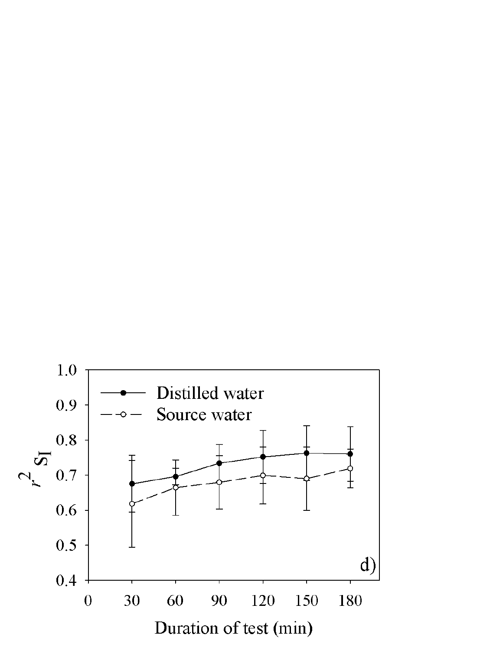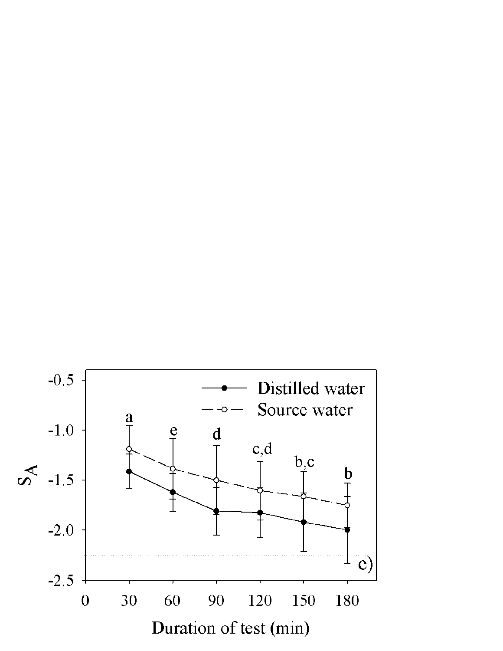